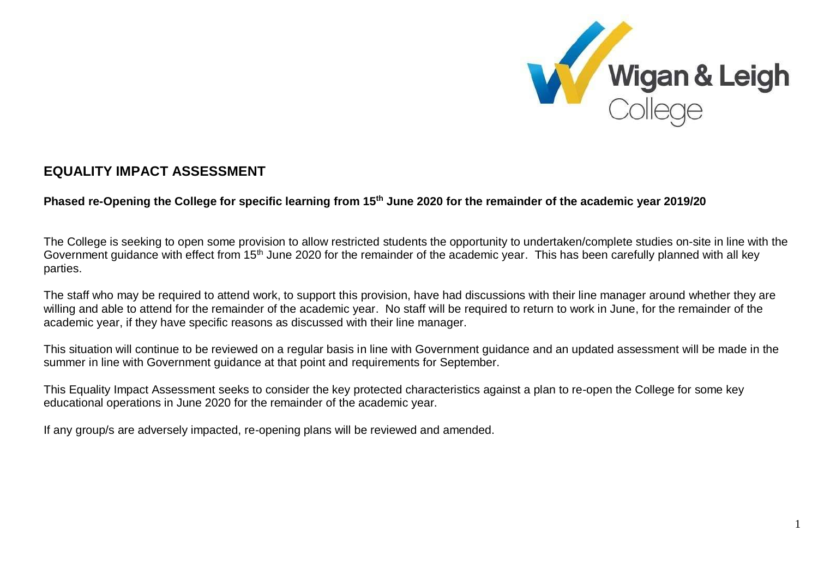

## **EQUALITY IMPACT ASSESSMENT**

## **Phased re-Opening the College for specific learning from 15th June 2020 for the remainder of the academic year 2019/20**

The College is seeking to open some provision to allow restricted students the opportunity to undertaken/complete studies on-site in line with the Government guidance with effect from 15<sup>th</sup> June 2020 for the remainder of the academic year. This has been carefully planned with all key parties.

The staff who may be required to attend work, to support this provision, have had discussions with their line manager around whether they are willing and able to attend for the remainder of the academic year. No staff will be required to return to work in June, for the remainder of the academic year, if they have specific reasons as discussed with their line manager.

This situation will continue to be reviewed on a regular basis in line with Government guidance and an updated assessment will be made in the summer in line with Government guidance at that point and requirements for September.

This Equality Impact Assessment seeks to consider the key protected characteristics against a plan to re-open the College for some key educational operations in June 2020 for the remainder of the academic year.

If any group/s are adversely impacted, re-opening plans will be reviewed and amended.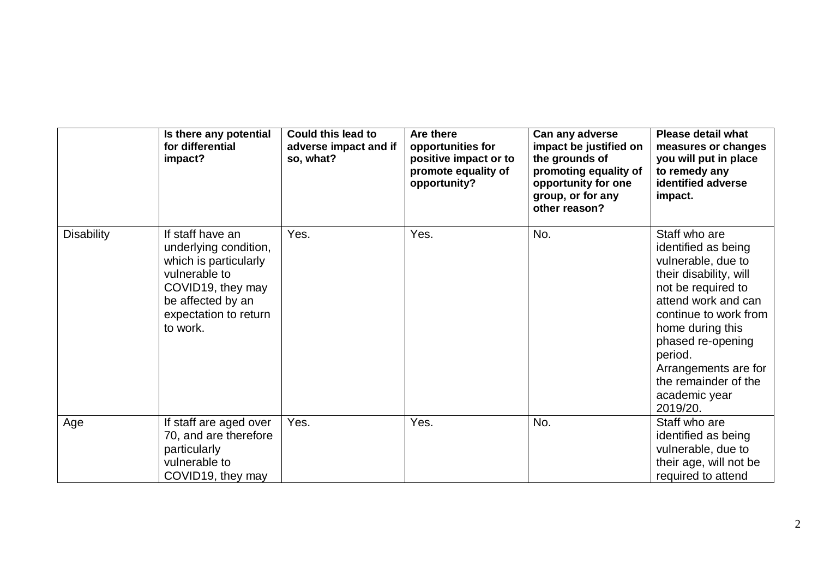|                   | Is there any potential<br>for differential<br>impact?                                                                                                              | <b>Could this lead to</b><br>adverse impact and if<br>so, what? | Are there<br>opportunities for<br>positive impact or to<br>promote equality of<br>opportunity? | Can any adverse<br>impact be justified on<br>the grounds of<br>promoting equality of<br>opportunity for one<br>group, or for any<br>other reason? | <b>Please detail what</b><br>measures or changes<br>you will put in place<br>to remedy any<br>identified adverse<br>impact.                                                                                                                                                                 |
|-------------------|--------------------------------------------------------------------------------------------------------------------------------------------------------------------|-----------------------------------------------------------------|------------------------------------------------------------------------------------------------|---------------------------------------------------------------------------------------------------------------------------------------------------|---------------------------------------------------------------------------------------------------------------------------------------------------------------------------------------------------------------------------------------------------------------------------------------------|
| <b>Disability</b> | If staff have an<br>underlying condition,<br>which is particularly<br>vulnerable to<br>COVID19, they may<br>be affected by an<br>expectation to return<br>to work. | Yes.                                                            | Yes.                                                                                           | No.                                                                                                                                               | Staff who are<br>identified as being<br>vulnerable, due to<br>their disability, will<br>not be required to<br>attend work and can<br>continue to work from<br>home during this<br>phased re-opening<br>period.<br>Arrangements are for<br>the remainder of the<br>academic year<br>2019/20. |
| Age               | If staff are aged over<br>70, and are therefore<br>particularly<br>vulnerable to<br>COVID19, they may                                                              | Yes.                                                            | Yes.                                                                                           | No.                                                                                                                                               | Staff who are<br>identified as being<br>vulnerable, due to<br>their age, will not be<br>required to attend                                                                                                                                                                                  |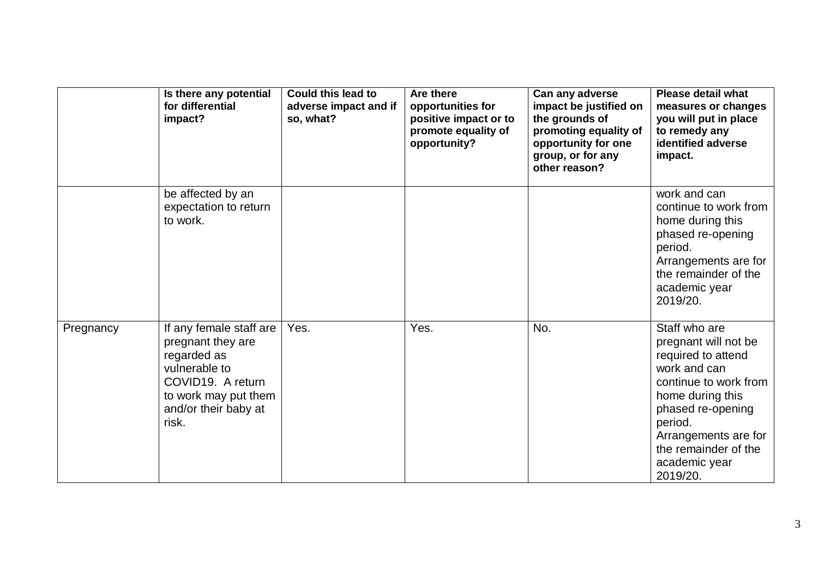|           | Is there any potential<br>for differential<br>impact?                                                                                                      | <b>Could this lead to</b><br>adverse impact and if<br>so, what? | Are there<br>opportunities for<br>positive impact or to<br>promote equality of<br>opportunity? | Can any adverse<br>impact be justified on<br>the grounds of<br>promoting equality of<br>opportunity for one<br>group, or for any<br>other reason? | <b>Please detail what</b><br>measures or changes<br>you will put in place<br>to remedy any<br>identified adverse<br>impact.                                                                                                           |
|-----------|------------------------------------------------------------------------------------------------------------------------------------------------------------|-----------------------------------------------------------------|------------------------------------------------------------------------------------------------|---------------------------------------------------------------------------------------------------------------------------------------------------|---------------------------------------------------------------------------------------------------------------------------------------------------------------------------------------------------------------------------------------|
|           | be affected by an<br>expectation to return<br>to work.                                                                                                     |                                                                 |                                                                                                |                                                                                                                                                   | work and can<br>continue to work from<br>home during this<br>phased re-opening<br>period.<br>Arrangements are for<br>the remainder of the<br>academic year<br>2019/20.                                                                |
| Pregnancy | If any female staff are<br>pregnant they are<br>regarded as<br>vulnerable to<br>COVID19. A return<br>to work may put them<br>and/or their baby at<br>risk. | Yes.                                                            | Yes.                                                                                           | No.                                                                                                                                               | Staff who are<br>pregnant will not be<br>required to attend<br>work and can<br>continue to work from<br>home during this<br>phased re-opening<br>period.<br>Arrangements are for<br>the remainder of the<br>academic year<br>2019/20. |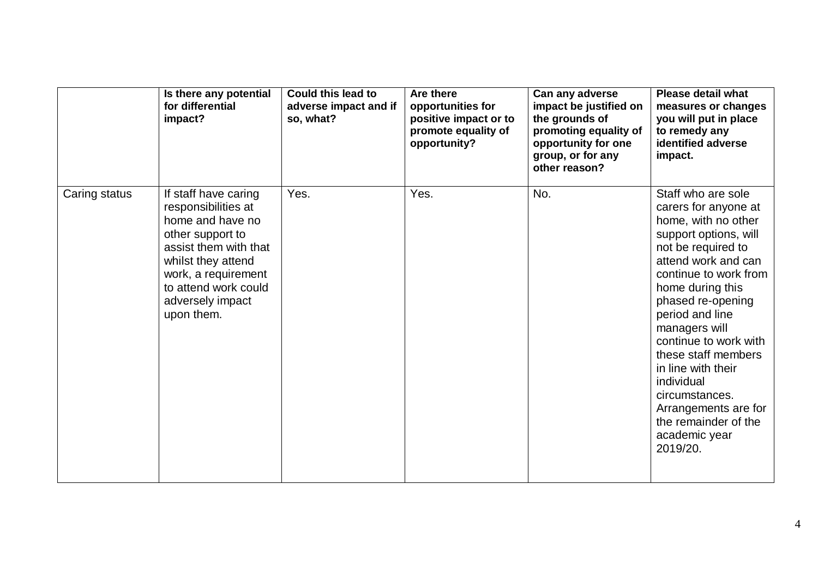|               | Is there any potential<br>for differential<br>impact?                                                                                                                                                               | <b>Could this lead to</b><br>adverse impact and if<br>so, what? | Are there<br>opportunities for<br>positive impact or to<br>promote equality of<br>opportunity? | Can any adverse<br>impact be justified on<br>the grounds of<br>promoting equality of<br>opportunity for one<br>group, or for any<br>other reason? | <b>Please detail what</b><br>measures or changes<br>you will put in place<br>to remedy any<br>identified adverse<br>impact.                                                                                                                                                                                                                                                                                                      |
|---------------|---------------------------------------------------------------------------------------------------------------------------------------------------------------------------------------------------------------------|-----------------------------------------------------------------|------------------------------------------------------------------------------------------------|---------------------------------------------------------------------------------------------------------------------------------------------------|----------------------------------------------------------------------------------------------------------------------------------------------------------------------------------------------------------------------------------------------------------------------------------------------------------------------------------------------------------------------------------------------------------------------------------|
| Caring status | If staff have caring<br>responsibilities at<br>home and have no<br>other support to<br>assist them with that<br>whilst they attend<br>work, a requirement<br>to attend work could<br>adversely impact<br>upon them. | Yes.                                                            | Yes.                                                                                           | No.                                                                                                                                               | Staff who are sole<br>carers for anyone at<br>home, with no other<br>support options, will<br>not be required to<br>attend work and can<br>continue to work from<br>home during this<br>phased re-opening<br>period and line<br>managers will<br>continue to work with<br>these staff members<br>in line with their<br>individual<br>circumstances.<br>Arrangements are for<br>the remainder of the<br>academic year<br>2019/20. |